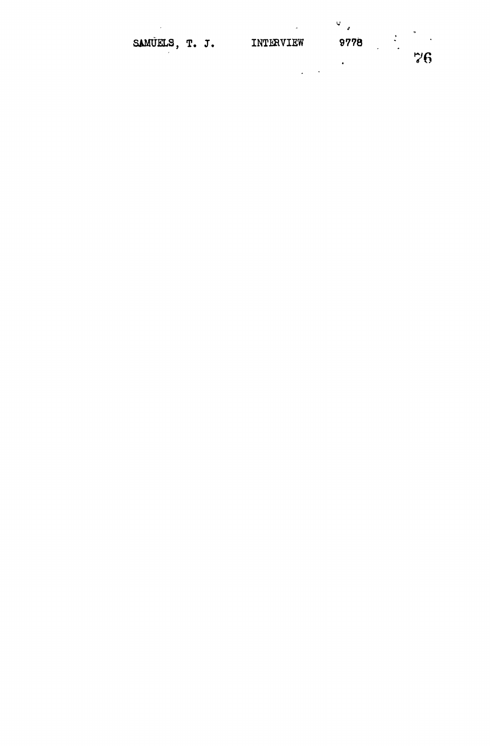|                |  |           |      |        | $\ddot{}$ |
|----------------|--|-----------|------|--------|-----------|
| SAMUELS, T. J. |  | INTERVIEW | 9778 | ٠<br>٠ |           |
|                |  |           | ٠    |        | 76        |
|                |  | ۰         |      |        |           |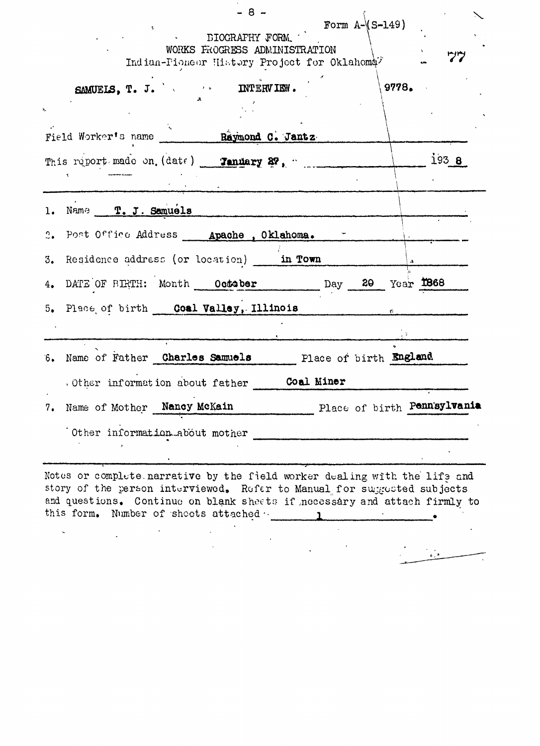| $-8 -$<br>Form $A-\$ $(S-149)$<br><b>EXECUTE STOCK AFTLY FORM.</b><br>WORKS FROGRESS ADMINISTRATION<br>Indian-Pioneor History Project for Oklahoma <sup>7</sup>                                                                   | ツツ                          |
|-----------------------------------------------------------------------------------------------------------------------------------------------------------------------------------------------------------------------------------|-----------------------------|
| SAMUELS, T. J. X. ANTERVIEW.                                                                                                                                                                                                      | 9778.                       |
| Field Worker's name Raymond C. Jantz                                                                                                                                                                                              |                             |
| This report made on. (date) Tanuary 27, "                                                                                                                                                                                         | 193 <sub>8</sub>            |
| 1. Name T. J. Samuels                                                                                                                                                                                                             |                             |
| 2. Post Office Address __ Apache , Oklahoma. -                                                                                                                                                                                    |                             |
| 3. Residence address (or location) in Town                                                                                                                                                                                        |                             |
| 4. DATE OF BIRTH: Month October Day 20 Year 1868                                                                                                                                                                                  |                             |
| 5. Place of birth Coal Valley, Illinois                                                                                                                                                                                           |                             |
| 6. Name of Father Charles Samuels Place of birth England                                                                                                                                                                          |                             |
| . Other information about father Coal Miner                                                                                                                                                                                       |                             |
| Nancy McKain<br>7. Name of Mother                                                                                                                                                                                                 | Place of birth Pennsylvania |
| Other information about mother                                                                                                                                                                                                    |                             |
| Notes or complete narrative by the field worker dealing with the life and<br>story of the person interviewed. Refer to Manual for suggested subjects<br>and quastions Continue on blank sheets if nonosoday and ottoob finally to |                             |

 $\ddot{\phantom{a}}$ 

and questions. Continue on blank shoe to if .necessary and attach firmly to this form. Number of sheets attached **1** 

 $\frac{1}{\sqrt{2}}$ 

 $\hat{\mathbf{v}}$ 

 $\label{eq:2.1} \frac{1}{\sqrt{2\pi}}\int_{0}^{\infty}\frac{1}{\sqrt{2\pi}}\left(\frac{1}{\sqrt{2\pi}}\right)^{2}d\mu_{\rm{eff}}\,.$ 

 $\mathcal{L}^{\mathcal{L}}$